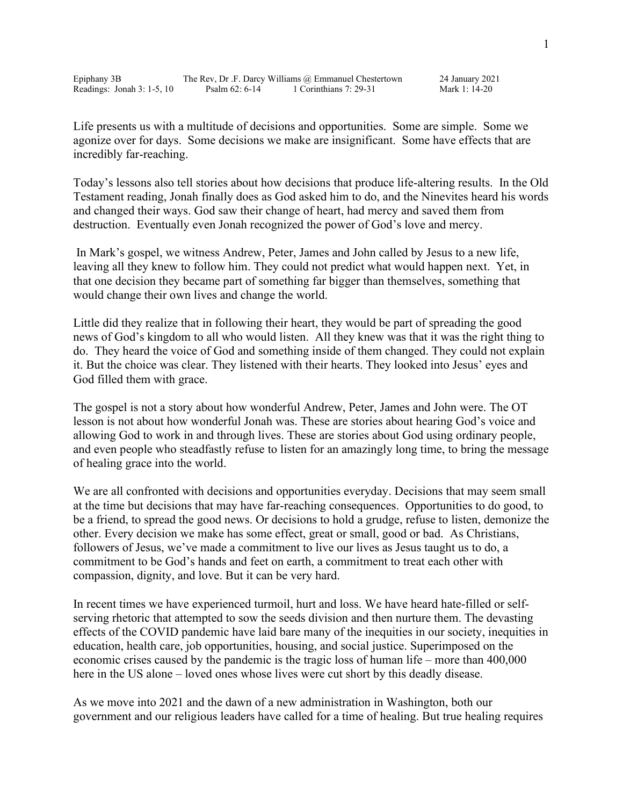| Epiphany 3B                | The Rev, Dr.F. Darcy Williams @ Emmanuel Chestertown |                        | 24 January 2021 |
|----------------------------|------------------------------------------------------|------------------------|-----------------|
| Readings: Jonah $3:1-5,10$ | Psalm 62: 6-14                                       | 1 Corinthians 7: 29-31 | Mark 1: 14-20   |

Life presents us with a multitude of decisions and opportunities. Some are simple. Some we agonize over for days. Some decisions we make are insignificant. Some have effects that are incredibly far-reaching.

Today's lessons also tell stories about how decisions that produce life-altering results. In the Old Testament reading, Jonah finally does as God asked him to do, and the Ninevites heard his words and changed their ways. God saw their change of heart, had mercy and saved them from destruction. Eventually even Jonah recognized the power of God's love and mercy.

In Mark's gospel, we witness Andrew, Peter, James and John called by Jesus to a new life, leaving all they knew to follow him. They could not predict what would happen next. Yet, in that one decision they became part of something far bigger than themselves, something that would change their own lives and change the world.

Little did they realize that in following their heart, they would be part of spreading the good news of God's kingdom to all who would listen. All they knew was that it was the right thing to do. They heard the voice of God and something inside of them changed. They could not explain it. But the choice was clear. They listened with their hearts. They looked into Jesus' eyes and God filled them with grace.

The gospel is not a story about how wonderful Andrew, Peter, James and John were. The OT lesson is not about how wonderful Jonah was. These are stories about hearing God's voice and allowing God to work in and through lives. These are stories about God using ordinary people, and even people who steadfastly refuse to listen for an amazingly long time, to bring the message of healing grace into the world.

We are all confronted with decisions and opportunities everyday. Decisions that may seem small at the time but decisions that may have far-reaching consequences. Opportunities to do good, to be a friend, to spread the good news. Or decisions to hold a grudge, refuse to listen, demonize the other. Every decision we make has some effect, great or small, good or bad. As Christians, followers of Jesus, we've made a commitment to live our lives as Jesus taught us to do, a commitment to be God's hands and feet on earth, a commitment to treat each other with compassion, dignity, and love. But it can be very hard.

In recent times we have experienced turmoil, hurt and loss. We have heard hate-filled or selfserving rhetoric that attempted to sow the seeds division and then nurture them. The devasting effects of the COVID pandemic have laid bare many of the inequities in our society, inequities in education, health care, job opportunities, housing, and social justice. Superimposed on the economic crises caused by the pandemic is the tragic loss of human life – more than 400,000 here in the US alone – loved ones whose lives were cut short by this deadly disease.

As we move into 2021 and the dawn of a new administration in Washington, both our government and our religious leaders have called for a time of healing. But true healing requires